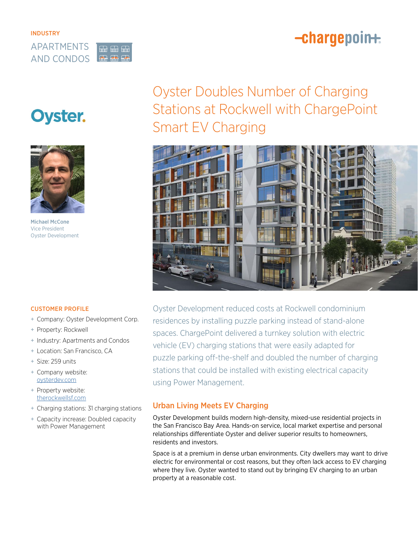## -chargepoin+



# **Oyster.**



Michael McCone Vice President Oyster Development

## Oyster Doubles Number of Charging Stations at Rockwell with ChargePoint Smart EV Charging



CUSTOMER PROFILE

- + Company: Oyster Development Corp.
- + Property: Rockwell
- + Industry: Apartments and Condos
- + Location: San Francisco, CA
- + Size: 259 units
- + Company website: [oysterdev.com](http://www.oysterdev.com)
- + Property website: [therockwellsf.com](http://www.therockwellsf.com)
- + Charging stations: 31 charging stations
- + Capacity increase: Doubled capacity with Power Management

Oyster Development reduced costs at Rockwell condominium residences by installing puzzle parking instead of stand-alone spaces. ChargePoint delivered a turnkey solution with electric vehicle (EV) charging stations that were easily adapted for puzzle parking off-the-shelf and doubled the number of charging stations that could be installed with existing electrical capacity using Power Management.

## Urban Living Meets EV Charging

Oyster Development builds modern high-density, mixed-use residential projects in the San Francisco Bay Area. Hands-on service, local market expertise and personal relationships differentiate Oyster and deliver superior results to homeowners, residents and investors.

Space is at a premium in dense urban environments. City dwellers may want to drive electric for environmental or cost reasons, but they often lack access to EV charging where they live. Oyster wanted to stand out by bringing EV charging to an urban property at a reasonable cost.